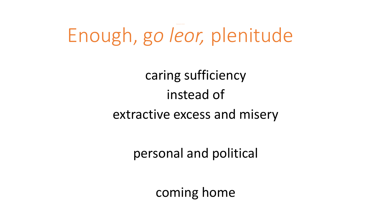Enough, g*o leor,* plenitude

caring sufficiency instead of extractive excess and misery

personal and political

coming home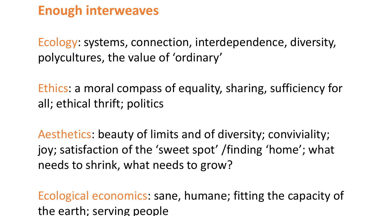# **Enough interweaves**

Ecology: systems, connection, interdependence, diversity, polycultures, the value of 'ordinary'

Ethics: a moral compass of equality, sharing, sufficiency for all; ethical thrift; politics

Aesthetics: beauty of limits and of diversity; conviviality; joy; satisfaction of the 'sweet spot' /finding 'home'; what needs to shrink, what needs to grow?

Ecological economics: sane, humane; fitting the capacity of the earth; serving people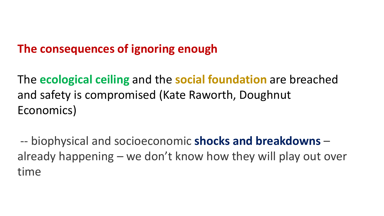## **The consequences of ignoring enough**

The **ecological ceiling** and the **social foundation** are breached and safety is compromised (Kate Raworth, Doughnut Economics)

-- biophysical and socioeconomic **shocks and breakdowns** – already happening – we don't know how they will play out over time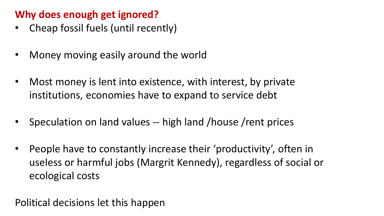#### **Why does enough get ignored?**

- Cheap fossil fuels (until recently)
- Money moving easily around the world
- Most money is lent into existence, with interest, by private institutions, economies have to expand to service debt
- Speculation on land values -- high land /house /rent prices
- People have to constantly increase their 'productivity', often in useless or harmful jobs (Margrit Kennedy), regardless of social or ecological costs

Political decisions let this happen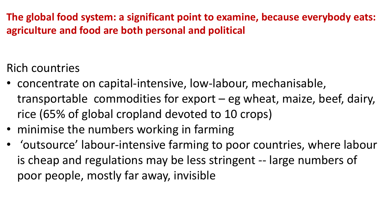**The global food system: a significant point to examine, because everybody eats: agriculture and food are both personal and political**

Rich countries

- concentrate on capital-intensive, low-labour, mechanisable, transportable commodities for export – eg wheat, maize, beef, dairy, rice (65% of global cropland devoted to 10 crops)
- minimise the numbers working in farming
- 'outsource' labour-intensive farming to poor countries, where labour is cheap and regulations may be less stringent -- large numbers of poor people, mostly far away, invisible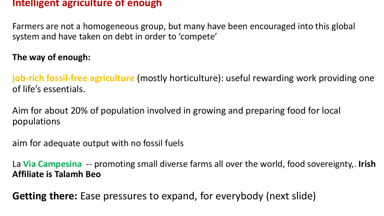#### **Intelligent agriculture of enough**

Farmers are not a homogeneous group, but many have been encouraged into this global system and have taken on debt in order to 'compete'

**The way of enough:**

**job-rich fossil-free agriculture** (mostly horticulture): useful rewarding work providing one of life's essentials.

Aim for about 20% of population involved in growing and preparing food for local populations

aim for adequate output with no fossil fuels

La **Via Campesina** -- promoting small diverse farms all over the world, food sovereignty,. **Irish Affiliate is Talamh Beo**

**Getting there:** Ease pressures to expand, for everybody (next slide)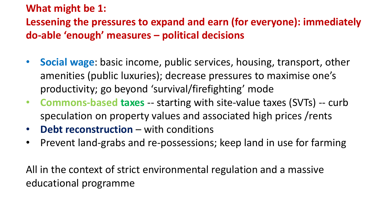#### **What might be 1:**

## **Lessening the pressures to expand and earn (for everyone): immediately do-able 'enough' measures – political decisions**

- **Social wage**: basic income, public services, housing, transport, other amenities (public luxuries); decrease pressures to maximise one's productivity; go beyond 'survival/firefighting' mode
- **Commons-based taxes** -- starting with site-value taxes (SVTs) -- curb speculation on property values and associated high prices /rents
- **Debt reconstruction**  with conditions
- Prevent land-grabs and re-possessions; keep land in use for farming

All in the context of strict environmental regulation and a massive educational programme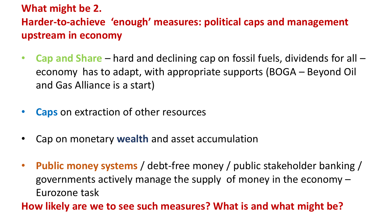## **What might be 2. Harder-to-achieve 'enough' measures: political caps and management upstream in economy**

- **Cap and Share**  hard and declining cap on fossil fuels, dividends for all economy has to adapt, with appropriate supports (BOGA – Beyond Oil and Gas Alliance is a start)
- **Caps** on extraction of other resources
- Cap on monetary **wealth** and asset accumulation
- **Public money systems** / debt-free money / public stakeholder banking / governments actively manage the supply of money in the economy – Eurozone task

**How likely are we to see such measures? What is and what might be?**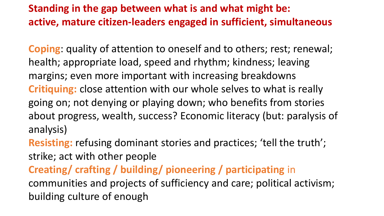## **Standing in the gap between what is and what might be: active, mature citizen-leaders engaged in sufficient, simultaneous**

**Coping**: quality of attention to oneself and to others; rest; renewal; health; appropriate load, speed and rhythm; kindness; leaving margins; even more important with increasing breakdowns **Critiquing:** close attention with our whole selves to what is really going on; not denying or playing down; who benefits from stories about progress, wealth, success? Economic literacy (but: paralysis of analysis)

**Resisting:** refusing dominant stories and practices; 'tell the truth'; strike; act with other people

**Creating/ crafting / building/ pioneering / participating** in communities and projects of sufficiency and care; political activism; building culture of enough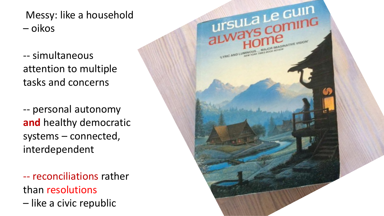Messy: like a household – oikos

-- simultaneous attention to multiple tasks and concerns

-- personal autonomy **and** healthy democratic systems – connected, interdependent

-- reconciliations rather than resolutions

– like a civic republic